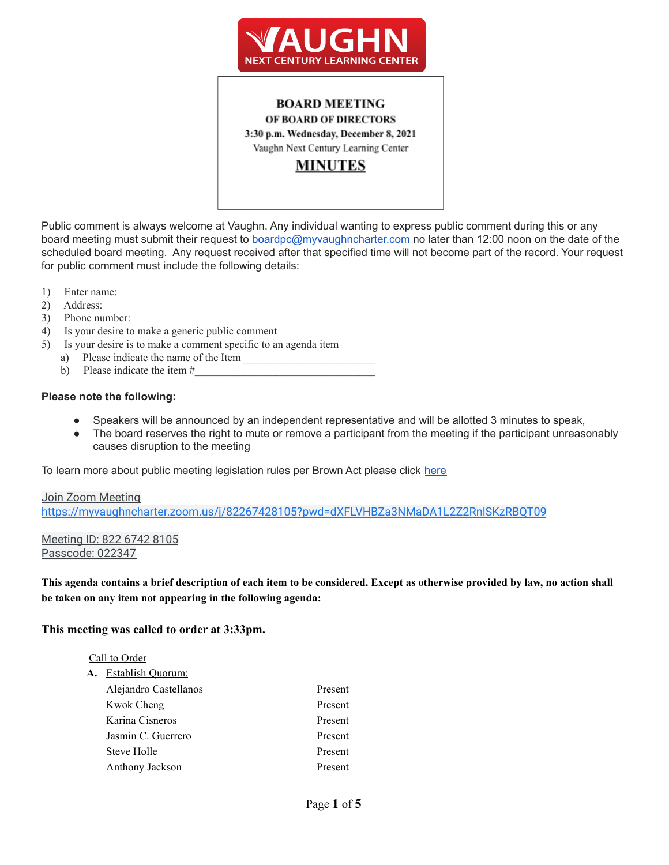

## **BOARD MEETING** OF BOARD OF DIRECTORS 3:30 p.m. Wednesday, December 8, 2021 Vaughn Next Century Learning Center **MINUTES**

Public comment is always welcome at Vaughn. Any individual wanting to express public comment during this or any board meeting must submit their request to boardpc@myvaughncharter.com no later than 12:00 noon on the date of the scheduled board meeting. Any request received after that specified time will not become part of the record. Your request for public comment must include the following details:

- 1) Enter name:
- 2) Address:
- 3) Phone number:
- 4) Is your desire to make a generic public comment
- 5) Is your desire is to make a comment specific to an agenda item
	- a) Please indicate the name of the Item
	- b) Please indicate the item  $#_2$

### **Please note the following:**

- Speakers will be announced by an independent representative and will be allotted 3 minutes to speak,
- The board reserves the right to mute or remove a participant from the meeting if the participant unreasonably causes disruption to the meeting

To learn more about public meeting legislation rules per Brown Act please click [here](https://leginfo.legislature.ca.gov/faces/billTextClient.xhtml?bill_id=201520160AB1787)

### Join Zoom Meeting <https://myvaughncharter.zoom.us/j/82267428105?pwd=dXFLVHBZa3NMaDA1L2Z2RnlSKzRBQT09>

### Meeting ID: 822 6742 8105 Passcode: 022347

This agenda contains a brief description of each item to be considered. Except as otherwise provided by law, no action shall **be taken on any item not appearing in the following agenda:**

### **This meeting was called to order at 3:33pm.**

#### Call to Order

| А. | <b>Establish Ouorum:</b> |         |
|----|--------------------------|---------|
|    | Alejandro Castellanos    | Present |
|    | Kwok Cheng               | Present |
|    | Karina Cisneros          | Present |
|    | Jasmin C. Guerrero       | Present |
|    | Steve Holle              | Present |
|    | Anthony Jackson          | Present |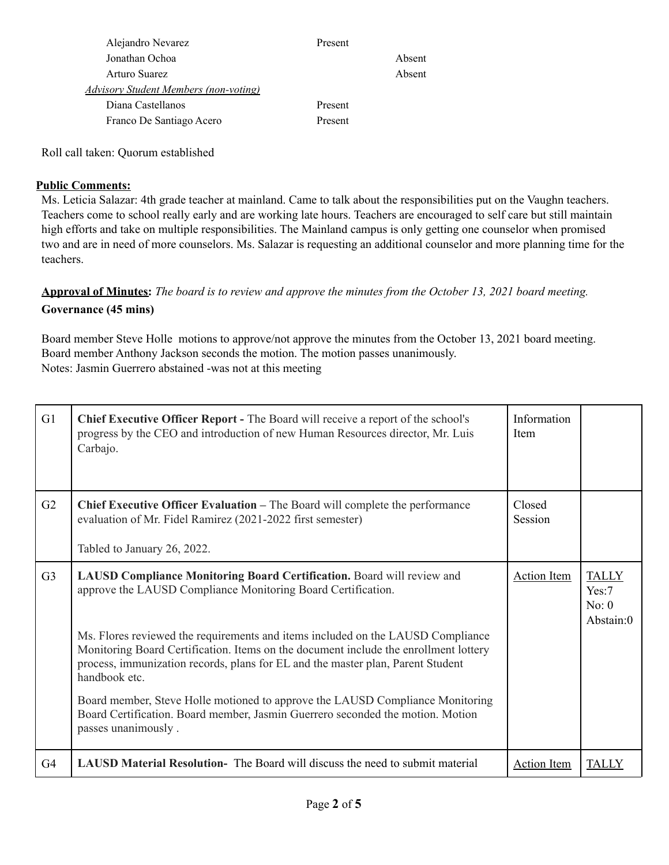| Alejandro Nevarez                            | Present |        |
|----------------------------------------------|---------|--------|
| Jonathan Ochoa                               |         | Absent |
| Arturo Suarez                                |         | Absent |
| <b>Advisory Student Members (non-voting)</b> |         |        |
| Diana Castellanos                            | Present |        |
| Franco De Santiago Acero                     | Present |        |

Roll call taken: Quorum established

## **Public Comments:**

Ms. Leticia Salazar: 4th grade teacher at mainland. Came to talk about the responsibilities put on the Vaughn teachers. Teachers come to school really early and are working late hours. Teachers are encouraged to self care but still maintain high efforts and take on multiple responsibilities. The Mainland campus is only getting one counselor when promised two and are in need of more counselors. Ms. Salazar is requesting an additional counselor and more planning time for the teachers.

## Approval of Minutes: The board is to review and approve the minutes from the October 13, 2021 board meeting. **Governance (45 mins)**

Board member Steve Holle motions to approve/not approve the minutes from the October 13, 2021 board meeting. Board member Anthony Jackson seconds the motion. The motion passes unanimously. Notes: Jasmin Guerrero abstained -was not at this meeting

| G1             | Chief Executive Officer Report - The Board will receive a report of the school's<br>progress by the CEO and introduction of new Human Resources director, Mr. Luis<br>Carbajo.                                                                                                                                                                                                                                                                                                                                                                                                                                  | Information<br><b>Item</b> |                                             |
|----------------|-----------------------------------------------------------------------------------------------------------------------------------------------------------------------------------------------------------------------------------------------------------------------------------------------------------------------------------------------------------------------------------------------------------------------------------------------------------------------------------------------------------------------------------------------------------------------------------------------------------------|----------------------------|---------------------------------------------|
| G2             | <b>Chief Executive Officer Evaluation – The Board will complete the performance</b><br>evaluation of Mr. Fidel Ramirez (2021-2022 first semester)<br>Tabled to January 26, 2022.                                                                                                                                                                                                                                                                                                                                                                                                                                | Closed<br>Session          |                                             |
| G <sub>3</sub> | LAUSD Compliance Monitoring Board Certification. Board will review and<br>approve the LAUSD Compliance Monitoring Board Certification.<br>Ms. Flores reviewed the requirements and items included on the LAUSD Compliance<br>Monitoring Board Certification. Items on the document include the enrollment lottery<br>process, immunization records, plans for EL and the master plan, Parent Student<br>handbook etc.<br>Board member, Steve Holle motioned to approve the LAUSD Compliance Monitoring<br>Board Certification. Board member, Jasmin Guerrero seconded the motion. Motion<br>passes unanimously. | <b>Action Item</b>         | <b>TALLY</b><br>Yes:7<br>No: 0<br>Abstain:0 |
| G <sub>4</sub> | <b>LAUSD Material Resolution-</b> The Board will discuss the need to submit material                                                                                                                                                                                                                                                                                                                                                                                                                                                                                                                            | <b>Action Item</b>         | <b>TALLY</b>                                |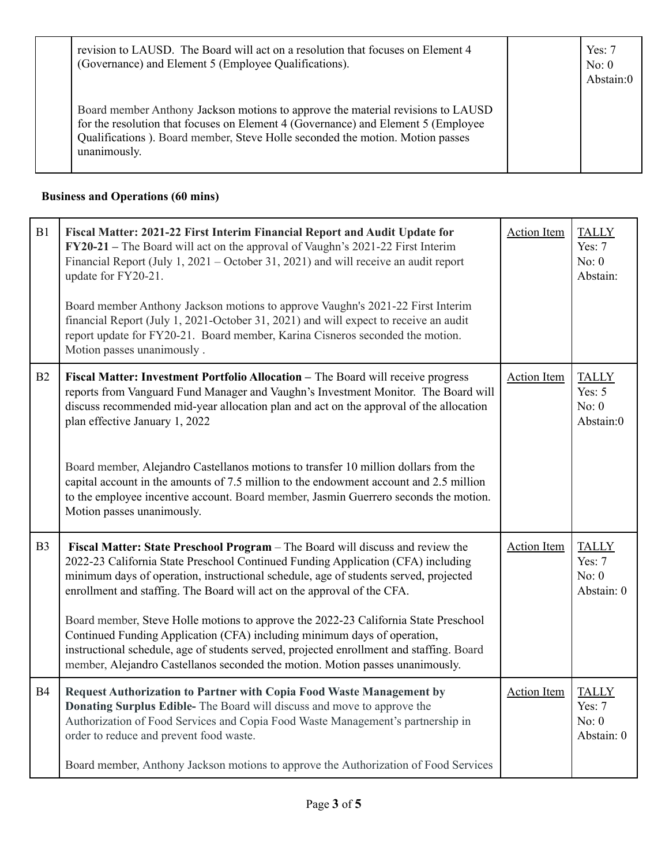| revision to LAUSD. The Board will act on a resolution that focuses on Element 4<br>(Governance) and Element 5 (Employee Qualifications).                                                                                                                               | Yes: $7$<br>No: 0<br>Abstain $0$ |
|------------------------------------------------------------------------------------------------------------------------------------------------------------------------------------------------------------------------------------------------------------------------|----------------------------------|
| Board member Anthony Jackson motions to approve the material revisions to LAUSD<br>for the resolution that focuses on Element 4 (Governance) and Element 5 (Employee<br>Qualifications ). Board member, Steve Holle seconded the motion. Motion passes<br>unanimously. |                                  |

## **Business and Operations (60 mins)**

| B1             | Fiscal Matter: 2021-22 First Interim Financial Report and Audit Update for<br>FY20-21 – The Board will act on the approval of Vaughn's 2021-22 First Interim<br>Financial Report (July 1, 2021 – October 31, 2021) and will receive an audit report                                                                                          | <b>Action Item</b> | <b>TALLY</b><br>Yes: 7<br>No: 0                      |
|----------------|----------------------------------------------------------------------------------------------------------------------------------------------------------------------------------------------------------------------------------------------------------------------------------------------------------------------------------------------|--------------------|------------------------------------------------------|
|                | update for FY20-21.                                                                                                                                                                                                                                                                                                                          |                    | Abstain:                                             |
|                | Board member Anthony Jackson motions to approve Vaughn's 2021-22 First Interim<br>financial Report (July 1, 2021-October 31, 2021) and will expect to receive an audit<br>report update for FY20-21. Board member, Karina Cisneros seconded the motion.<br>Motion passes unanimously.                                                        |                    |                                                      |
| B2             | Fiscal Matter: Investment Portfolio Allocation - The Board will receive progress<br>reports from Vanguard Fund Manager and Vaughn's Investment Monitor. The Board will<br>discuss recommended mid-year allocation plan and act on the approval of the allocation<br>plan effective January 1, 2022                                           | <b>Action Item</b> | <b>TALLY</b><br>Yes: $5$<br>No: 0<br>Abstain:0       |
|                | Board member, Alejandro Castellanos motions to transfer 10 million dollars from the<br>capital account in the amounts of 7.5 million to the endowment account and 2.5 million<br>to the employee incentive account. Board member, Jasmin Guerrero seconds the motion.<br>Motion passes unanimously.                                          |                    |                                                      |
| B <sub>3</sub> | Fiscal Matter: State Preschool Program - The Board will discuss and review the<br>2022-23 California State Preschool Continued Funding Application (CFA) including<br>minimum days of operation, instructional schedule, age of students served, projected<br>enrollment and staffing. The Board will act on the approval of the CFA.        | <b>Action Item</b> | <b>TALLY</b><br><b>Yes: 7</b><br>No: 0<br>Abstain: 0 |
|                | Board member, Steve Holle motions to approve the 2022-23 California State Preschool<br>Continued Funding Application (CFA) including minimum days of operation,<br>instructional schedule, age of students served, projected enrollment and staffing. Board<br>member, Alejandro Castellanos seconded the motion. Motion passes unanimously. |                    |                                                      |
| <b>B4</b>      | Request Authorization to Partner with Copia Food Waste Management by<br>Donating Surplus Edible- The Board will discuss and move to approve the<br>Authorization of Food Services and Copia Food Waste Management's partnership in<br>order to reduce and prevent food waste.                                                                | <b>Action Item</b> | <b>TALLY</b><br>Yes: $7$<br>No: 0<br>Abstain: 0      |
|                | Board member, Anthony Jackson motions to approve the Authorization of Food Services                                                                                                                                                                                                                                                          |                    |                                                      |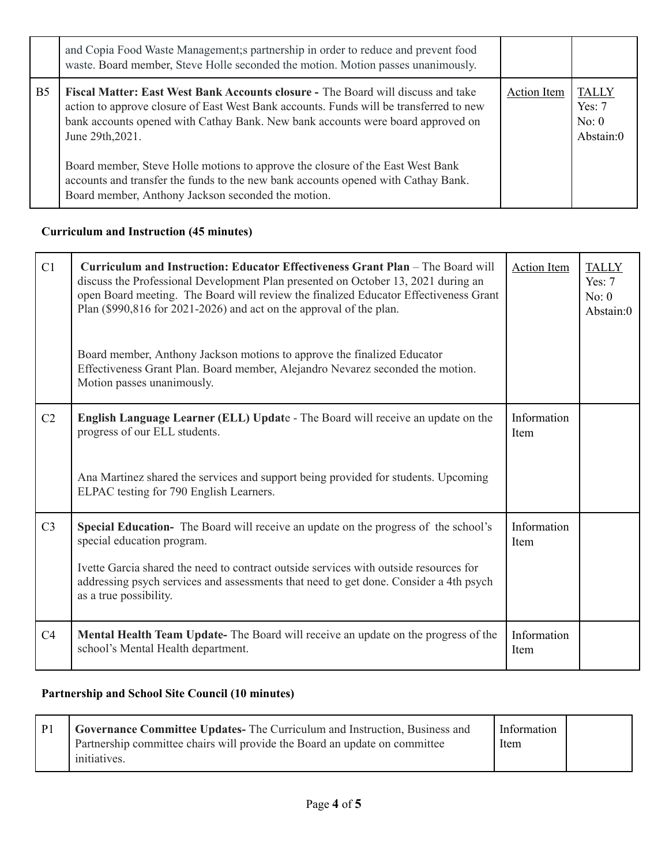|                | and Copia Food Waste Management; partnership in order to reduce and prevent food<br>waste. Board member, Steve Holle seconded the motion. Motion passes unanimously.                                                                                                                     |             |                                                |
|----------------|------------------------------------------------------------------------------------------------------------------------------------------------------------------------------------------------------------------------------------------------------------------------------------------|-------------|------------------------------------------------|
| B <sub>5</sub> | <b>Fiscal Matter: East West Bank Accounts closure - The Board will discuss and take</b><br>action to approve closure of East West Bank accounts. Funds will be transferred to new<br>bank accounts opened with Cathay Bank. New bank accounts were board approved on<br>June 29th, 2021. | Action Item | <b>TALLY</b><br>Yes: $7$<br>No: 0<br>Abstain:0 |
|                | Board member, Steve Holle motions to approve the closure of the East West Bank<br>accounts and transfer the funds to the new bank accounts opened with Cathay Bank.<br>Board member, Anthony Jackson seconded the motion.                                                                |             |                                                |

## **Curriculum and Instruction (45 minutes)**

| C1             | Curriculum and Instruction: Educator Effectiveness Grant Plan – The Board will<br>discuss the Professional Development Plan presented on October 13, 2021 during an<br>open Board meeting. The Board will review the finalized Educator Effectiveness Grant<br>Plan (\$990,816 for 2021-2026) and act on the approval of the plan.<br>Board member, Anthony Jackson motions to approve the finalized Educator<br>Effectiveness Grant Plan. Board member, Alejandro Nevarez seconded the motion.<br>Motion passes unanimously. | <b>Action Item</b>         | <b>TALLY</b><br>Yes: $7$<br>No: 0<br>Abstain:0 |
|----------------|-------------------------------------------------------------------------------------------------------------------------------------------------------------------------------------------------------------------------------------------------------------------------------------------------------------------------------------------------------------------------------------------------------------------------------------------------------------------------------------------------------------------------------|----------------------------|------------------------------------------------|
| C <sub>2</sub> | English Language Learner (ELL) Update - The Board will receive an update on the<br>progress of our ELL students.<br>Ana Martinez shared the services and support being provided for students. Upcoming<br>ELPAC testing for 790 English Learners.                                                                                                                                                                                                                                                                             | Information<br>Item        |                                                |
| C <sub>3</sub> | Special Education- The Board will receive an update on the progress of the school's<br>special education program.<br>Ivette Garcia shared the need to contract outside services with outside resources for<br>addressing psych services and assessments that need to get done. Consider a 4th psych<br>as a true possibility.                                                                                                                                                                                                 | Information<br>Item        |                                                |
| C <sub>4</sub> | <b>Mental Health Team Update-</b> The Board will receive an update on the progress of the<br>school's Mental Health department.                                                                                                                                                                                                                                                                                                                                                                                               | Information<br><b>Item</b> |                                                |

# **Partnership and School Site Council (10 minutes)**

| P1 | Governance Committee Updates- The Curriculum and Instruction, Business and | Information |  |
|----|----------------------------------------------------------------------------|-------------|--|
|    | Partnership committee chairs will provide the Board an update on committee | Item        |  |
|    | initiatives.                                                               |             |  |